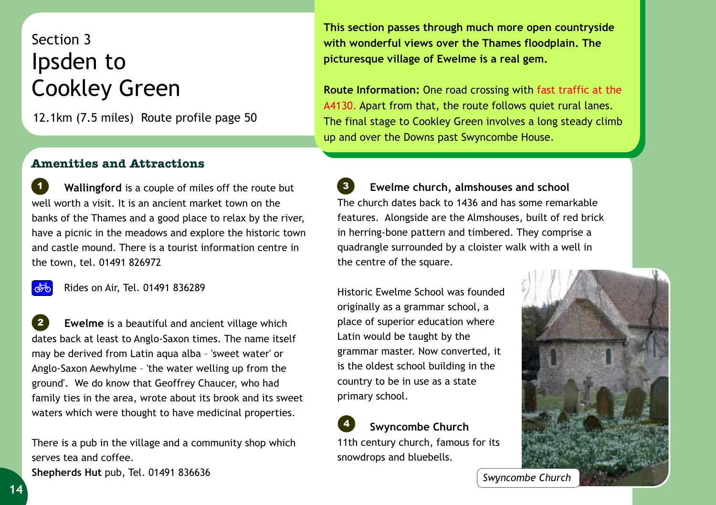## Section 3 Ipsden to Cookley Green

12.1km (7.5 miles) Route profile page 50

## **This section passes through much more open countryside with wonderful views over the Thames floodplain. The picturesque village of Ewelme is a real gem.**

**Route Information:** One road crossing with fast traffic at the A4130. Apart from that, the route follows quiet rural lanes. The final stage to Cookley Green involves a long steady climb up and over the Downs past Swyncombe House.

## **Amenities and Attractions**

 **Wallingford** is a couple of miles off the route but well worth a visit. It is an ancient market town on the banks of the Thames and a good place to relax by the river, have a picnic in the meadows and explore the historic town and castle mound. There is a tourist information centre in the town, tel. 01491 826972 *1*

 $\overrightarrow{abc}$ 

Rides on Air, Tel. 01491 836289

 **Ewelme** is a beautiful and ancient village which dates back at least to Anglo-Saxon times. The name itself may be derived from Latin aqua alba – 'sweet water' or Anglo-Saxon Aewhylme – 'the water welling up from the ground'. We do know that Geoffrey Chaucer, who had family ties in the area, wrote about its brook and its sweet waters which were thought to have medicinal properties. *2*

There is a pub in the village and a community shop which serves tea and coffee. **Shepherds Hut** pub, Tel. 01491 836636

 **Ewelme church, almshouses and school** The church dates back to 1436 and has some remarkable features. Alongside are the Almshouses, built of red brick in herring-bone pattern and timbered. They comprise a quadrangle surrounded by a cloister walk with a well in the centre of the square. *3*

Historic Ewelme School was founded originally as a grammar school, a place of superior education where Latin would be taught by the grammar master. Now converted, it is the oldest school building in the country to be in use as a state primary school.

 **Swyncombe Church** 11th century church, famous for its snowdrops and bluebells. *4*



*Swyncombe Church*